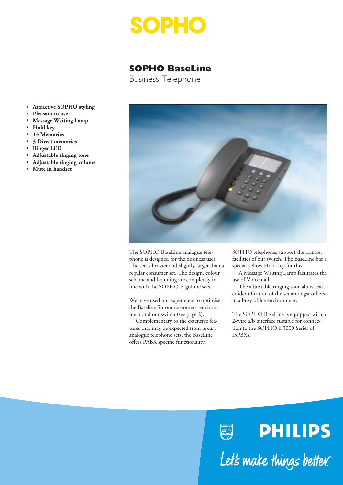

# **SOPHO BaseLine**

Business Telephone

- **Attractive SOPHO styling**
- **Pleasant to use**
- **Message Waiting Lamp**
- **Hold key**
- **13 Memories**
- **3 Direct memories**
- **Ringer LED**
- **Adjustable ringing tone**
- **Adjustable ringing volume**
- **Mute in handset**



PHILIPS<br>Cap

The SOPHO BaseLine analogue telephone is designed for the business user. The set is heavier and slightly larger than a regular consumer set. The design, colour scheme and branding are completely in line with the SOPHO ErgoLine sets.

We have used our experience to optimise the Baseline for our customers' environment and our switch (see page 2).

Complementary to the extensive features that may be expected from luxury analogue telephone sets, the BaseLine offers PABX specific functionality.

SOPHO telephones support the transfer facilities of our switch. The BaseLine has a special yellow Hold key for this.

A Message Waiting Lamp facilitates the use of Voicemail.

The adjustable ringing tone allows easier identification of the set amongst others in a busy office environment.

The SOPHO BaseLine is equipped with a 2-wire a/b interface suitable for connection to the SOPHO iS3000 Series of ISPBXs.

**PHILIPS** 

Let's make things better.